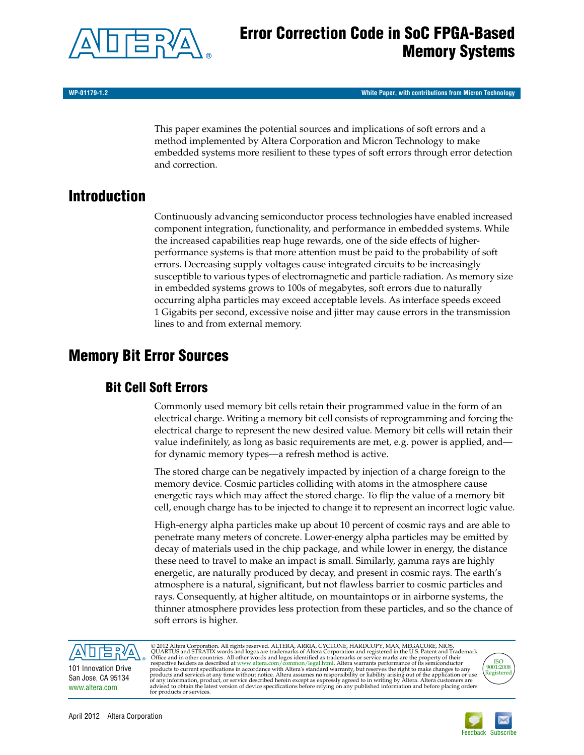

**WP-01179-1.2 White Paper, with contributions from Micron Technology**

This paper examines the potential sources and implications of soft errors and a method implemented by Altera Corporation and Micron Technology to make embedded systems more resilient to these types of soft errors through error detection and correction.

# **Introduction**

Continuously advancing semiconductor process technologies have enabled increased component integration, functionality, and performance in embedded systems. While the increased capabilities reap huge rewards, one of the side effects of higherperformance systems is that more attention must be paid to the probability of soft errors. Decreasing supply voltages cause integrated circuits to be increasingly susceptible to various types of electromagnetic and particle radiation. As memory size in embedded systems grows to 100s of megabytes, soft errors due to naturally occurring alpha particles may exceed acceptable levels. As interface speeds exceed 1 Gigabits per second, excessive noise and jitter may cause errors in the transmission lines to and from external memory.

# **Memory Bit Error Sources**

# **Bit Cell Soft Errors**

Commonly used memory bit cells retain their programmed value in the form of an electrical charge. Writing a memory bit cell consists of reprogramming and forcing the electrical charge to represent the new desired value. Memory bit cells will retain their value indefinitely, as long as basic requirements are met, e.g. power is applied, and for dynamic memory types—a refresh method is active.

The stored charge can be negatively impacted by injection of a charge foreign to the memory device. Cosmic particles colliding with atoms in the atmosphere cause energetic rays which may affect the stored charge. To flip the value of a memory bit cell, enough charge has to be injected to change it to represent an incorrect logic value.

High-energy alpha particles make up about 10 percent of cosmic rays and are able to penetrate many meters of concrete. Lower-energy alpha particles may be emitted by decay of materials used in the chip package, and while lower in energy, the distance these need to travel to make an impact is small. Similarly, gamma rays are highly energetic, are naturally produced by decay, and present in cosmic rays. The earth's atmosphere is a natural, significant, but not flawless barrierto cosmic particles and rays. Consequently, at higher altitude, on mountaintops or in airborne systems, the thinner atmosphere provides less protection from these particles, and so the chance of soft errors is higher.



San Jose, CA 95134 [www.altera.com](http://www.altera.com)

© 2012 Altera Corporation. All rights reserved. ALTERA, ARRIA, CYCLONE, HARDCOPY, MAX, MEGACORE, NIOS, QUARTUS and STRATIX words and logos are trademarks of Altera Corporation and registered in the U.S. Patent and Trademar



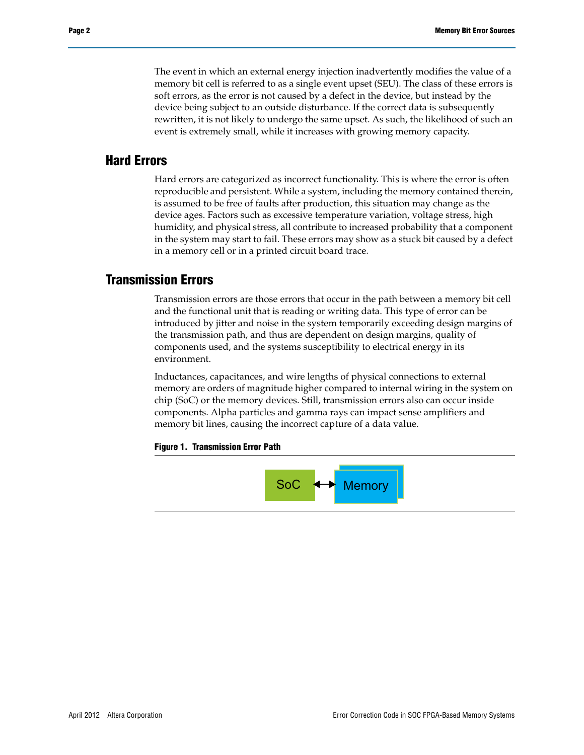The event in which an external energy injection inadvertently modifies the value of a memory bit cell is referred to as a single event upset (SEU). The class of these errors is soft errors, as the error is not caused by a defect in the device, but instead by the device being subject to an outside disturbance. If the correct data is subsequently rewritten, it is not likely to undergo the same upset. As such, the likelihood of such an event is extremely small, while it increases with growing memory capacity.

### **Hard Errors**

Hard errors are categorized as incorrect functionality. This is where the error is often reproducible and persistent. While a system, including the memory contained therein, is assumed to be free of faults after production, this situation may change as the device ages. Factors such as excessive temperature variation, voltage stress, high humidity, and physical stress, all contribute to increased probability that a component in the system may start to fail. These errors may show as a stuck bit caused by a defect in a memory cell or in a printed circuit board trace.

#### **Transmission Errors**

Transmission errors are those errors that occur in the path between a memory bit cell and the functional unit that is reading or writing data. This type of error can be introduced by jitter and noise in the system temporarily exceeding design margins of the transmission path, and thus are dependent on design margins, quality of components used, and the systems susceptibility to electrical energy in its environment.

Inductances, capacitances, and wire lengths of physical connections to external memory are orders of magnitude higher compared to internal wiring in the system on chip (SoC) or the memory devices. Still, transmission errors also can occur inside components. Alpha particles and gamma rays can impact sense amplifiers and memory bit lines, causing the incorrect capture of a data value.

#### **Figure 1. Transmission Error Path**

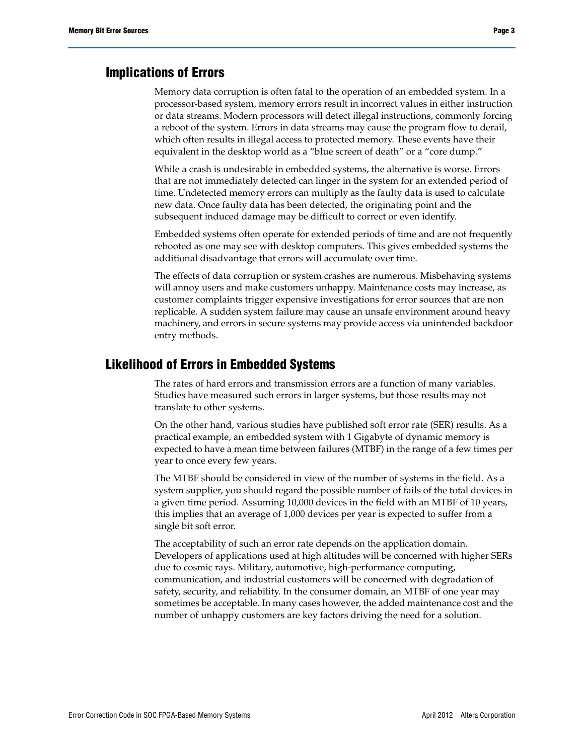#### **Implications of Errors**

Memory data corruption is often fatal to the operation of an embedded system. In a processor-based system, memory errors result in incorrect values in either instruction or data streams. Modern processors will detect illegal instructions, commonly forcing a reboot of the system. Errors in data streams may cause the program flow to derail, which often results in illegal access to protected memory. These events have their equivalent in the desktop world as a "blue screen of death" or a "core dump."

While a crash is undesirable in embedded systems, the alternative is worse. Errors that are not immediately detected can linger in the system for an extended period of time. Undetected memory errors can multiply as the faulty data is used to calculate new data. Once faulty data has been detected, the originating point and the subsequent induced damage may be difficult to correct or even identify.

Embedded systems often operate for extended periods of time and are not frequently rebooted as one may see with desktop computers. This gives embedded systems the additional disadvantage that errors will accumulate over time.

The effects of data corruption or system crashes are numerous. Misbehaving systems will annoy users and make customers unhappy. Maintenance costs may increase, as customer complaints trigger expensive investigations for error sources that are non replicable. A sudden system failure may cause an unsafe environment around heavy machinery, and errors in secure systems may provide access via unintended backdoor entry methods.

## **Likelihood of Errors in Embedded Systems**

The rates of hard errors and transmission errors are a function of many variables. Studies have measured such errors in larger systems, but those results may not translate to other systems.

On the other hand, various studies have published soft error rate (SER) results. As a practical example, an embedded system with 1 Gigabyte of dynamic memory is expected to have a mean time between failures (MTBF) in the range of a few times per year to once every few years.

The MTBF should be considered in view of the number of systems in the field. As a system supplier, you should regard the possible number of fails of the total devices in a given time period. Assuming 10,000 devices in the field with an MTBF of 10 years, this implies that an average of 1,000 devices per year is expected to suffer from a single bit soft error.

The acceptability of such an error rate depends on the application domain. Developers of applications used at high altitudes will be concerned with higher SERs due to cosmic rays. Military, automotive, high-performance computing, communication, and industrial customers will be concerned with degradation of safety, security, and reliability. In the consumer domain, an MTBF of one year may sometimes be acceptable. In many cases however, the added maintenance cost and the number of unhappy customers are key factors driving the need for a solution.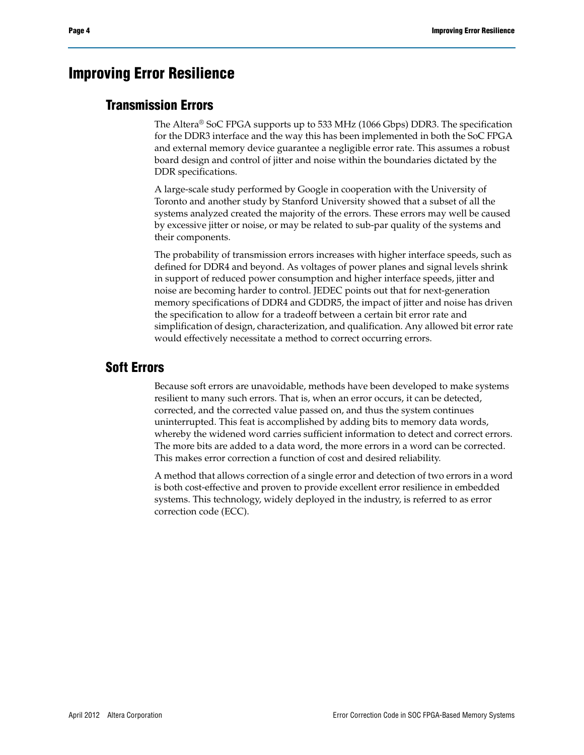# **Improving Error Resilience**

## **Transmission Errors**

The Altera® SoC FPGA supports up to 533 MHz (1066 Gbps) DDR3. The specification for the DDR3 interface and the way this has been implemented in both the SoC FPGA and external memory device guarantee a negligible error rate. This assumes a robust board design and control of jitter and noise within the boundaries dictated by the DDR specifications.

A large-scale study performed by Google in cooperation with the University of Toronto and another study by Stanford University showed that a subset of all the systems analyzed created the majority of the errors. These errors may well be caused by excessive jitter or noise, or may be related to sub-par quality of the systems and their components.

The probability of transmission errors increases with higher interface speeds, such as defined for DDR4 and beyond. As voltages of power planes and signal levels shrink in support of reduced power consumption and higher interface speeds, jitter and noise are becoming harder to control. JEDEC points out that for next-generation memory specifications of DDR4 and GDDR5, the impact of jitter and noise has driven the specification to allow for a tradeoff between a certain bit error rate and simplification of design, characterization, and qualification. Any allowed bit error rate would effectively necessitate a method to correct occurring errors.

## **Soft Errors**

Because soft errors are unavoidable, methods have been developed to make systems resilient to many such errors. That is, when an error occurs, it can be detected, corrected, and the corrected value passed on, and thus the system continues uninterrupted. This feat is accomplished by adding bits to memory data words, whereby the widened word carries sufficient information to detect and correct errors. The more bits are added to a data word, the more errors in a word can be corrected. This makes error correction a function of cost and desired reliability.

A method that allows correction of a single error and detection of two errors in a word is both cost-effective and proven to provide excellent error resilience in embedded systems. This technology, widely deployed in the industry, is referred to as error correction code (ECC).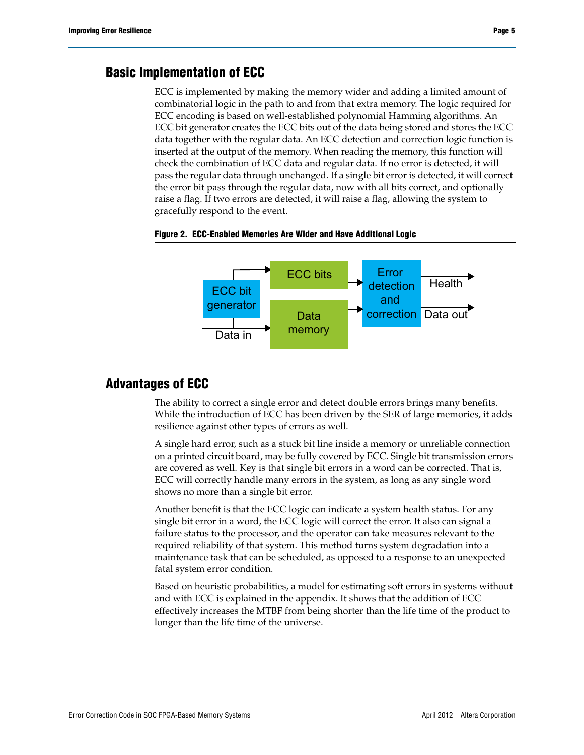## **Basic Implementation of ECC**

ECC is implemented by making the memory wider and adding a limited amount of combinatorial logic in the path to and from that extra memory. The logic required for ECC encoding is based on well-established polynomial Hamming algorithms. An ECC bit generator creates the ECC bits out of the data being stored and stores the ECC data together with the regular data. An ECC detection and correction logic function is inserted at the output of the memory. When reading the memory, this function will check the combination of ECC data and regular data. If no error is detected, it will pass the regular data through unchanged. If a single bit error is detected, it will correct the error bit pass through the regular data, now with all bits correct, and optionally raise a flag. If two errors are detected, it will raise a flag, allowing the system to gracefully respond to the event.



#### **Figure 2. ECC-Enabled Memories Are Wider and Have Additional Logic**

### **Advantages of ECC**

The ability to correct a single error and detect double errors brings many benefits. While the introduction of ECC has been driven by the SER of large memories, it adds resilience against other types of errors as well.

A single hard error, such as a stuck bit line inside a memory or unreliable connection on a printed circuit board, may be fully covered by ECC. Single bit transmission errors are covered as well. Key is that single bit errors in a word can be corrected. That is, ECC will correctly handle many errors in the system, as long as any single word shows no more than a single bit error.

Another benefit is that the ECC logic can indicate a system health status. For any single bit error in a word, the ECC logic will correct the error. It also can signal a failure status to the processor, and the operator can take measures relevant to the required reliability of that system. This method turns system degradation into a maintenance task that can be scheduled, as opposed to a response to an unexpected fatal system error condition.

Based on heuristic probabilities, a model for estimating soft errors in systems without and with ECC is explained in the appendix. It shows that the addition of ECC effectively increases the MTBF from being shorter than the life time of the product to longer than the life time of the universe.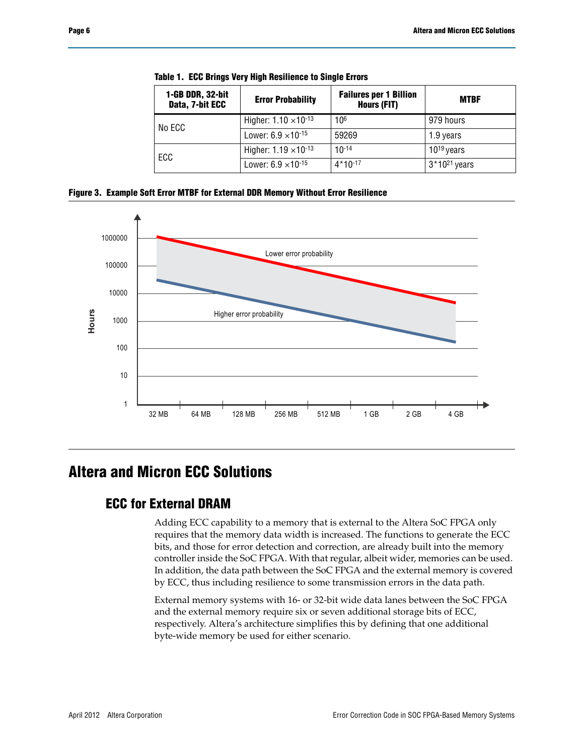|  | 1-GB DDR, 32-bit<br>Data, 7-bit ECC | <b>Error Probability</b>       | <b>Failures per 1 Billion</b><br>Hours (FIT) | <b>MTBF</b>       |
|--|-------------------------------------|--------------------------------|----------------------------------------------|-------------------|
|  | No ECC                              | Higher: $1.10 \times 10^{-13}$ | 10 <sup>6</sup>                              | 979 hours         |
|  |                                     | Lower: $6.9 \times 10^{-15}$   | 59269                                        | 1.9 years         |
|  | ECC                                 | Higher: $1.19 \times 10^{-13}$ | $10^{-14}$                                   | $10^{19}$ years   |
|  |                                     | Lower: $6.9 \times 10^{-15}$   | $4*10-17$                                    | $3*10^{21}$ years |

**Table 1. ECC Brings Very High Resilience to Single Errors**

**Figure 3. Example Soft Error MTBF for External DDR Memory Without Error Resilience**



# **Altera and Micron ECC Solutions**

## **ECC for External DRAM**

Adding ECC capability to a memory that is external to the Altera SoC FPGA only requires that the memory data width is increased. The functions to generate the ECC bits, and those for error detection and correction, are already built into the memory controller inside the SoC FPGA. With that regular, albeit wider, memories can be used. In addition, the data path between the SoC FPGA and the external memory is covered by ECC, thus including resilience to some transmission errors in the data path.

External memory systems with 16- or 32-bit wide data lanes between the SoC FPGA and the external memory require six or seven additional storage bits of ECC, respectively. Altera's architecture simplifies this by defining that one additional byte-wide memory be used for either scenario.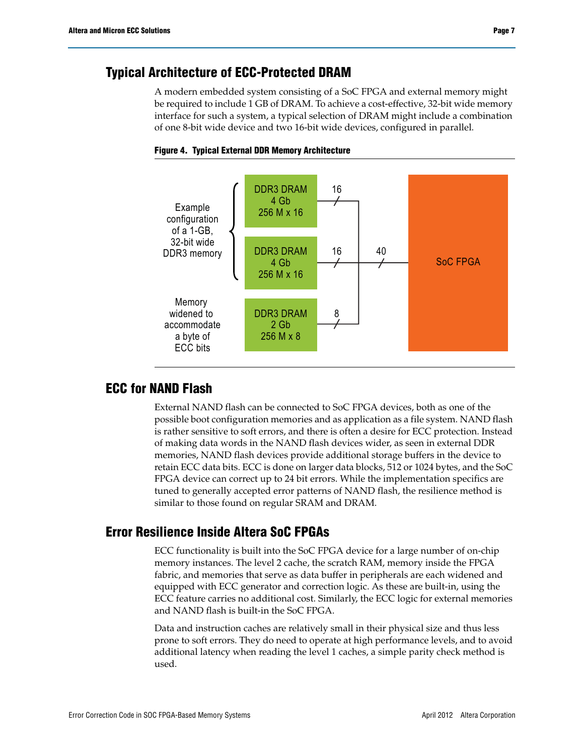## **Typical Architecture of ECC-Protected DRAM**

A modern embedded system consisting of a SoC FPGA and external memory might be required to include 1 GB of DRAM. To achieve a cost-effective, 32-bit wide memory interface for such a system, a typical selection of DRAM might include a combination of one 8-bit wide device and two 16-bit wide devices, configured in parallel.





## **ECC for NAND Flash**

External NAND flash can be connected to SoC FPGA devices, both as one of the possible boot configuration memories and as application as a file system. NAND flash is rather sensitive to soft errors, and there is often a desire for ECC protection. Instead of making data words in the NAND flash devices wider, as seen in external DDR memories, NAND flash devices provide additional storage buffers in the device to retain ECC data bits. ECC is done on larger data blocks, 512 or 1024 bytes, and the SoC FPGA device can correct up to 24 bit errors. While the implementation specifics are tuned to generally accepted error patterns of NAND flash, the resilience method is similar to those found on regular SRAM and DRAM.

## **Error Resilience Inside Altera SoC FPGAs**

ECC functionality is built into the SoC FPGA device for a large number of on-chip memory instances. The level 2 cache, the scratch RAM, memory inside the FPGA fabric, and memories that serve as data buffer in peripherals are each widened and equipped with ECC generator and correction logic. As these are built-in, using the ECC feature carries no additional cost. Similarly, the ECC logic for external memories and NAND flash is built-in the SoC FPGA.

Data and instruction caches are relatively small in their physical size and thus less prone to soft errors. They do need to operate at high performance levels, and to avoid additional latency when reading the level 1 caches, a simple parity check method is used.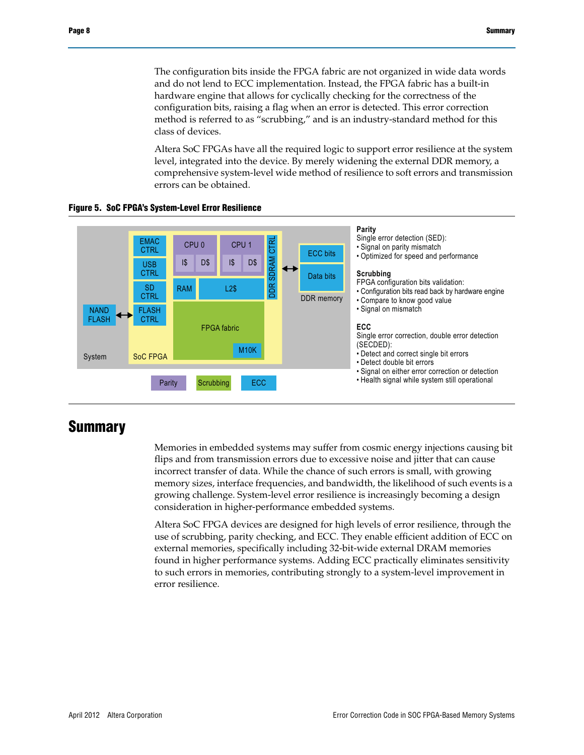The configuration bits inside the FPGA fabric are not organized in wide data words and do not lend to ECC implementation. Instead, the FPGA fabric has a built-in hardware engine that allows for cyclically checking for the correctness of the configuration bits, raising a flag when an error is detected. This error correction method is referred to as "scrubbing," and is an industry-standard method for this class of devices.

Altera SoC FPGAs have all the required logic to support error resilience at the system level, integrated into the device. By merely widening the external DDR memory, a comprehensive system-level wide method of resilience to soft errors and transmission errors can be obtained.





# **Summary**

Memories in embedded systems may suffer from cosmic energy injections causing bit flips and from transmission errors due to excessive noise and jitter that can cause incorrect transfer of data. While the chance of such errors is small, with growing memory sizes, interface frequencies, and bandwidth, the likelihood of such events is a growing challenge. System-level error resilience is increasingly becoming a design consideration in higher-performance embedded systems.

Altera SoC FPGA devices are designed for high levels of error resilience, through the use of scrubbing, parity checking, and ECC. They enable efficient addition of ECC on external memories, specifically including 32-bit-wide external DRAM memories found in higher performance systems. Adding ECC practically eliminates sensitivity to such errors in memories, contributing strongly to a system-level improvement in error resilience.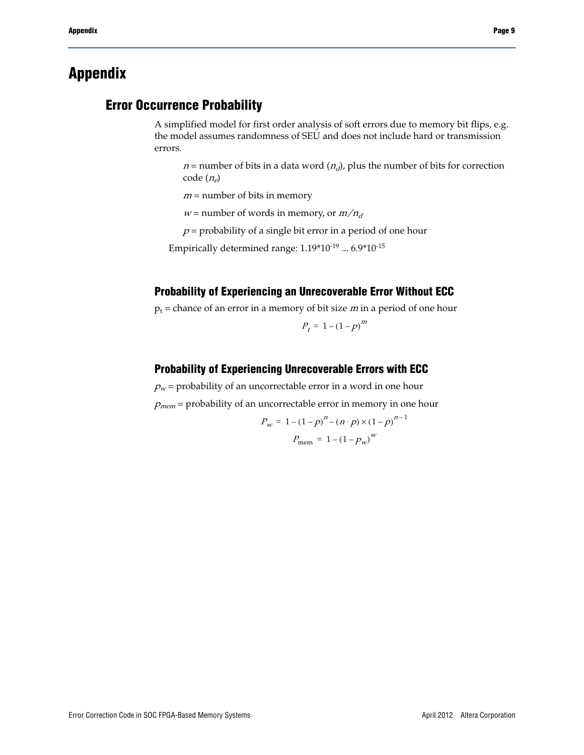# **Appendix**

## **Error Occurrence Probability**

A simplified model for first order analysis of soft errors due to memory bit flips, e.g. the model assumes randomness of SEU and does not include hard or transmission errors.

 $n =$  number of bits in a data word  $(n_d)$ , plus the number of bits for correction code  $(n_e)$ 

 $m =$  number of bits in memory

 $w =$  number of words in memory, or  $m/n_d$ 

 $p$  = probability of a single bit error in a period of one hour

Empirically determined range: 1.19\*10-19 ... 6.9\*10-15

## **Probability of Experiencing an Unrecoverable Error Without ECC**

 $p_t$  = chance of an error in a memory of bit size *m* in a period of one hour

$$
P_t = 1 - \left(1 - p\right)^m
$$

#### **Probability of Experiencing Unrecoverable Errors with ECC**

 $p_w$  = probability of an uncorrectable error in a word in one hour

 $p_{mem}$  = probability of an uncorrectable error in memory in one hour

$$
P_{w} = 1 - (1 - p)^{n} - (n \cdot p) \times (1 - p)^{n-1}
$$

$$
P_{\text{mem}} = 1 - (1 - p_{w})^{w}
$$